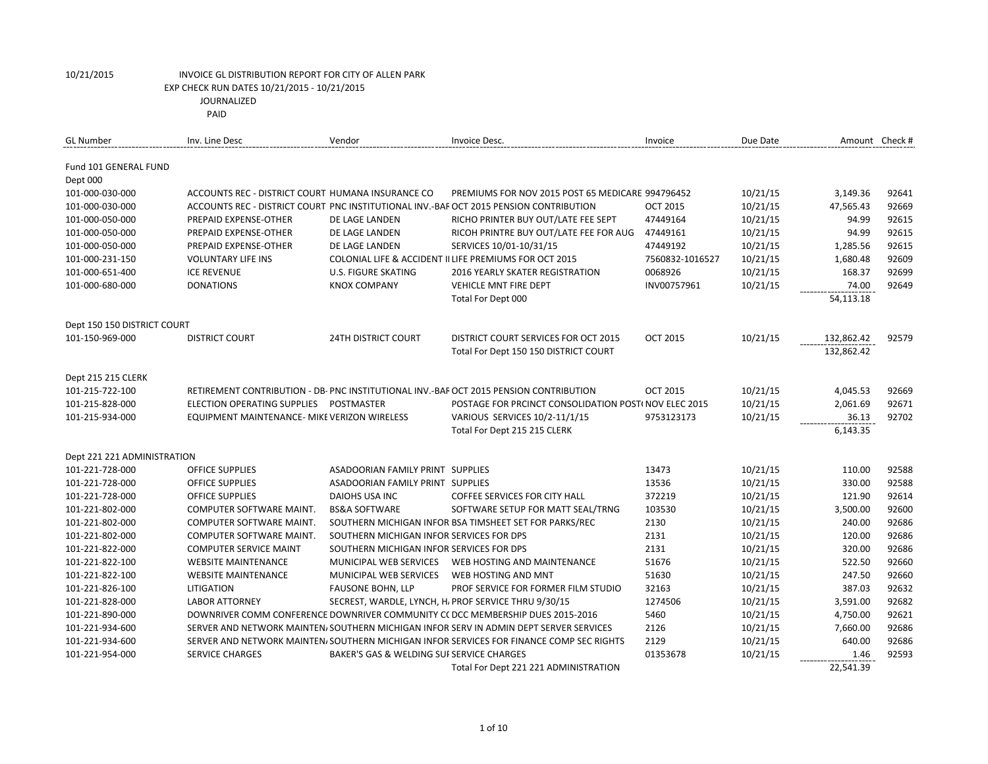| <b>GL Number</b>            | Inv. Line Desc                                    | Vendor                                    | Invoice Desc.                                                                           | Invoice         | Due Date | Amount Check# |       |
|-----------------------------|---------------------------------------------------|-------------------------------------------|-----------------------------------------------------------------------------------------|-----------------|----------|---------------|-------|
| Fund 101 GENERAL FUND       |                                                   |                                           |                                                                                         |                 |          |               |       |
| Dept 000                    |                                                   |                                           |                                                                                         |                 |          |               |       |
| 101-000-030-000             | ACCOUNTS REC - DISTRICT COURT HUMANA INSURANCE CO |                                           | PREMIUMS FOR NOV 2015 POST 65 MEDICARE 994796452                                        |                 | 10/21/15 | 3,149.36      | 92641 |
| 101-000-030-000             |                                                   |                                           | ACCOUNTS REC - DISTRICT COURT PNC INSTITUTIONAL INV.-BAF OCT 2015 PENSION CONTRIBUTION  | <b>OCT 2015</b> | 10/21/15 | 47,565.43     | 92669 |
| 101-000-050-000             | PREPAID EXPENSE-OTHER                             | DE LAGE LANDEN                            | RICHO PRINTER BUY OUT/LATE FEE SEPT                                                     | 47449164        | 10/21/15 | 94.99         | 92615 |
| 101-000-050-000             | PREPAID EXPENSE-OTHER                             | DE LAGE LANDEN                            | RICOH PRINTRE BUY OUT/LATE FEE FOR AUG                                                  | 47449161        | 10/21/15 | 94.99         | 92615 |
| 101-000-050-000             | PREPAID EXPENSE-OTHER                             | DE LAGE LANDEN                            | SERVICES 10/01-10/31/15                                                                 | 47449192        | 10/21/15 | 1,285.56      | 92615 |
| 101-000-231-150             | <b>VOLUNTARY LIFE INS</b>                         |                                           | COLONIAL LIFE & ACCIDENT II LIFE PREMIUMS FOR OCT 2015                                  | 7560832-1016527 | 10/21/15 | 1,680.48      | 92609 |
| 101-000-651-400             | <b>ICE REVENUE</b>                                | U.S. FIGURE SKATING                       | <b>2016 YEARLY SKATER REGISTRATION</b>                                                  | 0068926         | 10/21/15 | 168.37        | 92699 |
| 101-000-680-000             | <b>DONATIONS</b>                                  | <b>KNOX COMPANY</b>                       | <b>VEHICLE MNT FIRE DEPT</b>                                                            | INV00757961     | 10/21/15 | 74.00         | 92649 |
|                             |                                                   |                                           | Total For Dept 000                                                                      |                 |          | 54,113.18     |       |
| Dept 150 150 DISTRICT COURT |                                                   |                                           |                                                                                         |                 |          |               |       |
| 101-150-969-000             | <b>DISTRICT COURT</b>                             | <b>24TH DISTRICT COURT</b>                | DISTRICT COURT SERVICES FOR OCT 2015                                                    | <b>OCT 2015</b> | 10/21/15 | 132,862.42    | 92579 |
|                             |                                                   |                                           | Total For Dept 150 150 DISTRICT COURT                                                   |                 |          | 132,862.42    |       |
| Dept 215 215 CLERK          |                                                   |                                           |                                                                                         |                 |          |               |       |
| 101-215-722-100             |                                                   |                                           | RETIREMENT CONTRIBUTION - DB- PNC INSTITUTIONAL INV.-BAF OCT 2015 PENSION CONTRIBUTION  | <b>OCT 2015</b> | 10/21/15 | 4,045.53      | 92669 |
| 101-215-828-000             | ELECTION OPERATING SUPPLIES POSTMASTER            |                                           | POSTAGE FOR PRCINCT CONSOLIDATION POST( NOV ELEC 2015                                   |                 | 10/21/15 | 2,061.69      | 92671 |
| 101-215-934-000             | EQUIPMENT MAINTENANCE- MIKE VERIZON WIRELESS      |                                           | VARIOUS SERVICES 10/2-11/1/15                                                           | 9753123173      | 10/21/15 | 36.13         | 92702 |
|                             |                                                   |                                           | Total For Dept 215 215 CLERK                                                            |                 |          | 6,143.35      |       |
|                             |                                                   |                                           |                                                                                         |                 |          |               |       |
| Dept 221 221 ADMINISTRATION |                                                   |                                           |                                                                                         |                 |          |               |       |
| 101-221-728-000             | <b>OFFICE SUPPLIES</b>                            | ASADOORIAN FAMILY PRINT SUPPLIES          |                                                                                         | 13473           | 10/21/15 | 110.00        | 92588 |
| 101-221-728-000             | <b>OFFICE SUPPLIES</b>                            | ASADOORIAN FAMILY PRINT SUPPLIES          |                                                                                         | 13536           | 10/21/15 | 330.00        | 92588 |
| 101-221-728-000             | <b>OFFICE SUPPLIES</b>                            | DAIOHS USA INC                            | COFFEE SERVICES FOR CITY HALL                                                           | 372219          | 10/21/15 | 121.90        | 92614 |
| 101-221-802-000             | COMPUTER SOFTWARE MAINT.                          | <b>BS&amp;A SOFTWARE</b>                  | SOFTWARE SETUP FOR MATT SEAL/TRNG                                                       | 103530          | 10/21/15 | 3,500.00      | 92600 |
| 101-221-802-000             | COMPUTER SOFTWARE MAINT.                          |                                           | SOUTHERN MICHIGAN INFOR BSA TIMSHEET SET FOR PARKS/REC                                  | 2130            | 10/21/15 | 240.00        | 92686 |
| 101-221-802-000             | COMPUTER SOFTWARE MAINT.                          | SOUTHERN MICHIGAN INFOR SERVICES FOR DPS  |                                                                                         | 2131            | 10/21/15 | 120.00        | 92686 |
| 101-221-822-000             | <b>COMPUTER SERVICE MAINT</b>                     | SOUTHERN MICHIGAN INFOR SERVICES FOR DPS  |                                                                                         | 2131            | 10/21/15 | 320.00        | 92686 |
| 101-221-822-100             | <b>WEBSITE MAINTENANCE</b>                        | MUNICIPAL WEB SERVICES                    | WEB HOSTING AND MAINTENANCE                                                             | 51676           | 10/21/15 | 522.50        | 92660 |
| 101-221-822-100             | <b>WEBSITE MAINTENANCE</b>                        | MUNICIPAL WEB SERVICES                    | WEB HOSTING AND MNT                                                                     | 51630           | 10/21/15 | 247.50        | 92660 |
| 101-221-826-100             | LITIGATION                                        | <b>FAUSONE BOHN, LLP</b>                  | PROF SERVICE FOR FORMER FILM STUDIO                                                     | 32163           | 10/21/15 | 387.03        | 92632 |
| 101-221-828-000             | <b>LABOR ATTORNEY</b>                             |                                           | SECREST, WARDLE, LYNCH, H, PROF SERVICE THRU 9/30/15                                    | 1274506         | 10/21/15 | 3,591.00      | 92682 |
| 101-221-890-000             |                                                   |                                           | DOWNRIVER COMM CONFERENCE DOWNRIVER COMMUNITY CC DCC MEMBERSHIP DUES 2015-2016          | 5460            | 10/21/15 | 4,750.00      | 92621 |
| 101-221-934-600             |                                                   |                                           | SERVER AND NETWORK MAINTEN/SOUTHERN MICHIGAN INFOR SERV IN ADMIN DEPT SERVER SERVICES   | 2126            | 10/21/15 | 7,660.00      | 92686 |
| 101-221-934-600             |                                                   |                                           | SERVER AND NETWORK MAINTEN/SOUTHERN MICHIGAN INFOR SERVICES FOR FINANCE COMP SEC RIGHTS | 2129            | 10/21/15 | 640.00        | 92686 |
| 101-221-954-000             | <b>SERVICE CHARGES</b>                            | BAKER'S GAS & WELDING SUI SERVICE CHARGES |                                                                                         | 01353678        | 10/21/15 | 1.46          | 92593 |
|                             |                                                   |                                           | Total For Dept 221 221 ADMINISTRATION                                                   |                 |          | 22,541.39     |       |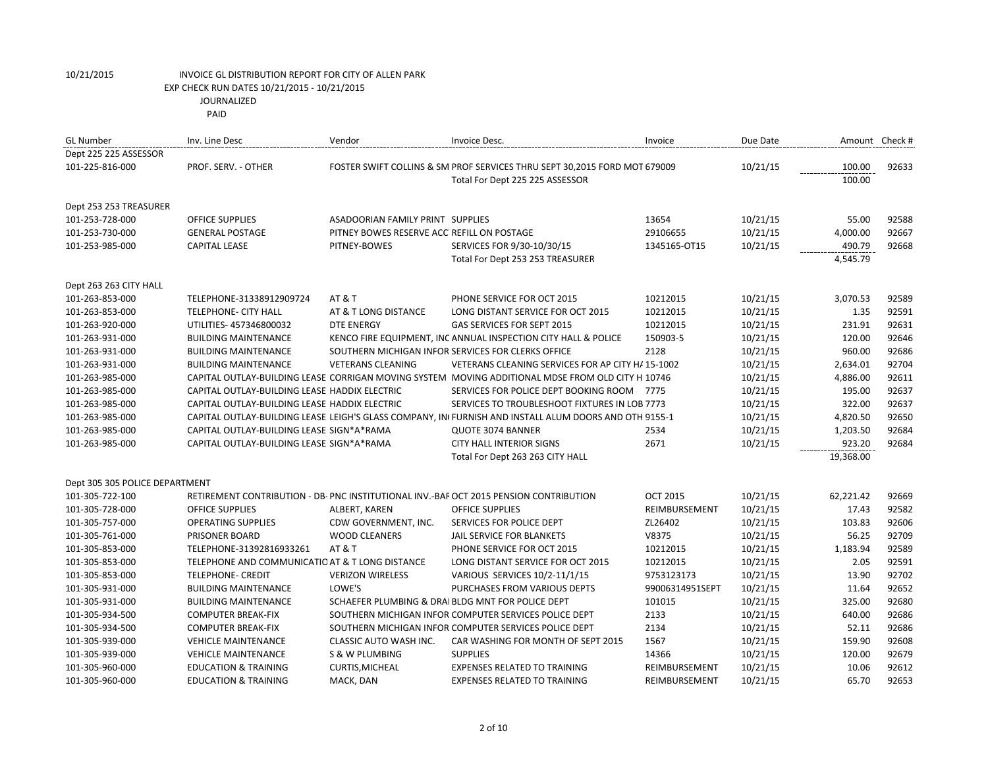|  | PAID |
|--|------|
|--|------|

| <b>GL Number</b>               | Inv. Line Desc                                  | Vendor                                     | Invoice Desc.                                                                                         | Invoice         | Due Date | Amount Check # |       |
|--------------------------------|-------------------------------------------------|--------------------------------------------|-------------------------------------------------------------------------------------------------------|-----------------|----------|----------------|-------|
| Dept 225 225 ASSESSOR          |                                                 |                                            |                                                                                                       |                 |          |                |       |
| 101-225-816-000                | PROF. SERV. - OTHER                             |                                            | FOSTER SWIFT COLLINS & SM PROF SERVICES THRU SEPT 30,2015 FORD MOT 679009                             |                 | 10/21/15 | 100.00         | 92633 |
|                                |                                                 |                                            | Total For Dept 225 225 ASSESSOR                                                                       |                 |          | 100.00         |       |
|                                |                                                 |                                            |                                                                                                       |                 |          |                |       |
| Dept 253 253 TREASURER         |                                                 |                                            |                                                                                                       |                 |          |                |       |
| 101-253-728-000                | <b>OFFICE SUPPLIES</b>                          | <b>ASADOORIAN FAMILY PRINT SUPPLIES</b>    |                                                                                                       | 13654           | 10/21/15 | 55.00          | 92588 |
| 101-253-730-000                | <b>GENERAL POSTAGE</b>                          | PITNEY BOWES RESERVE ACC REFILL ON POSTAGE |                                                                                                       | 29106655        | 10/21/15 | 4,000.00       | 92667 |
| 101-253-985-000                | <b>CAPITAL LEASE</b>                            | PITNEY-BOWES                               | SERVICES FOR 9/30-10/30/15                                                                            | 1345165-OT15    | 10/21/15 | 490.79         | 92668 |
|                                |                                                 |                                            | Total For Dept 253 253 TREASURER                                                                      |                 |          | 4,545.79       |       |
|                                |                                                 |                                            |                                                                                                       |                 |          |                |       |
| Dept 263 263 CITY HALL         |                                                 |                                            |                                                                                                       |                 |          |                |       |
| 101-263-853-000                | TELEPHONE-31338912909724                        | <b>AT &amp; T</b>                          | PHONE SERVICE FOR OCT 2015                                                                            | 10212015        | 10/21/15 | 3,070.53       | 92589 |
| 101-263-853-000                | TELEPHONE- CITY HALL                            | AT & T LONG DISTANCE                       | LONG DISTANT SERVICE FOR OCT 2015                                                                     | 10212015        | 10/21/15 | 1.35           | 92591 |
| 101-263-920-000                | UTILITIES- 457346800032                         | <b>DTE ENERGY</b>                          | <b>GAS SERVICES FOR SEPT 2015</b>                                                                     | 10212015        | 10/21/15 | 231.91         | 92631 |
| 101-263-931-000                | <b>BUILDING MAINTENANCE</b>                     |                                            | KENCO FIRE EQUIPMENT, INC ANNUAL INSPECTION CITY HALL & POLICE                                        | 150903-5        | 10/21/15 | 120.00         | 92646 |
| 101-263-931-000                | <b>BUILDING MAINTENANCE</b>                     |                                            | SOUTHERN MICHIGAN INFOR SERVICES FOR CLERKS OFFICE                                                    | 2128            | 10/21/15 | 960.00         | 92686 |
| 101-263-931-000                | <b>BUILDING MAINTENANCE</b>                     | <b>VETERANS CLEANING</b>                   | VETERANS CLEANING SERVICES FOR AP CITY H/ 15-1002                                                     |                 | 10/21/15 | 2,634.01       | 92704 |
| 101-263-985-000                |                                                 |                                            | CAPITAL OUTLAY-BUILDING LEASE CORRIGAN MOVING SYSTEM MOVING ADDITIONAL MDSE FROM OLD CITY H 10746     |                 | 10/21/15 | 4,886.00       | 92611 |
| 101-263-985-000                | CAPITAL OUTLAY-BUILDING LEASE HADDIX ELECTRIC   |                                            | SERVICES FOR POLICE DEPT BOOKING ROOM 7775                                                            |                 | 10/21/15 | 195.00         | 92637 |
| 101-263-985-000                | CAPITAL OUTLAY-BUILDING LEASE HADDIX ELECTRIC   |                                            | SERVICES TO TROUBLESHOOT FIXTURES IN LOB 7773                                                         |                 | 10/21/15 | 322.00         | 92637 |
| 101-263-985-000                |                                                 |                                            | CAPITAL OUTLAY-BUILDING LEASE LEIGH'S GLASS COMPANY, IN FURNISH AND INSTALL ALUM DOORS AND OTH 9155-1 |                 | 10/21/15 | 4,820.50       | 92650 |
| 101-263-985-000                | CAPITAL OUTLAY-BUILDING LEASE SIGN*A*RAMA       |                                            | QUOTE 3074 BANNER                                                                                     | 2534            | 10/21/15 | 1,203.50       | 92684 |
| 101-263-985-000                | CAPITAL OUTLAY-BUILDING LEASE SIGN*A*RAMA       |                                            | <b>CITY HALL INTERIOR SIGNS</b>                                                                       | 2671            | 10/21/15 | 923.20         | 92684 |
|                                |                                                 |                                            | Total For Dept 263 263 CITY HALL                                                                      |                 |          | 19,368.00      |       |
|                                |                                                 |                                            |                                                                                                       |                 |          |                |       |
| Dept 305 305 POLICE DEPARTMENT |                                                 |                                            |                                                                                                       |                 |          |                |       |
| 101-305-722-100                |                                                 |                                            | RETIREMENT CONTRIBUTION - DB- PNC INSTITUTIONAL INV.-BAF OCT 2015 PENSION CONTRIBUTION                | <b>OCT 2015</b> | 10/21/15 | 62,221.42      | 92669 |
| 101-305-728-000                | <b>OFFICE SUPPLIES</b>                          | ALBERT, KAREN                              | <b>OFFICE SUPPLIES</b>                                                                                | REIMBURSEMENT   | 10/21/15 | 17.43          | 92582 |
| 101-305-757-000                | <b>OPERATING SUPPLIES</b>                       | CDW GOVERNMENT, INC.                       | SERVICES FOR POLICE DEPT                                                                              | ZL26402         | 10/21/15 | 103.83         | 92606 |
| 101-305-761-000                | PRISONER BOARD                                  | <b>WOOD CLEANERS</b>                       | JAIL SERVICE FOR BLANKETS                                                                             | V8375           | 10/21/15 | 56.25          | 92709 |
| 101-305-853-000                | TELEPHONE-31392816933261                        | AT&T                                       | PHONE SERVICE FOR OCT 2015                                                                            | 10212015        | 10/21/15 | 1,183.94       | 92589 |
| 101-305-853-000                | TELEPHONE AND COMMUNICATIO AT & T LONG DISTANCE |                                            | LONG DISTANT SERVICE FOR OCT 2015                                                                     | 10212015        | 10/21/15 | 2.05           | 92591 |
| 101-305-853-000                | <b>TELEPHONE- CREDIT</b>                        | <b>VERIZON WIRELESS</b>                    | VARIOUS SERVICES 10/2-11/1/15                                                                         | 9753123173      | 10/21/15 | 13.90          | 92702 |
| 101-305-931-000                | <b>BUILDING MAINTENANCE</b>                     | LOWE'S                                     | PURCHASES FROM VARIOUS DEPTS                                                                          | 99006314951SEPT | 10/21/15 | 11.64          | 92652 |
| 101-305-931-000                | <b>BUILDING MAINTENANCE</b>                     |                                            | SCHAEFER PLUMBING & DRAI BLDG MNT FOR POLICE DEPT                                                     | 101015          | 10/21/15 | 325.00         | 92680 |
| 101-305-934-500                | <b>COMPUTER BREAK-FIX</b>                       |                                            | SOUTHERN MICHIGAN INFOR COMPUTER SERVICES POLICE DEPT                                                 | 2133            | 10/21/15 | 640.00         | 92686 |
| 101-305-934-500                | <b>COMPUTER BREAK-FIX</b>                       |                                            | SOUTHERN MICHIGAN INFOR COMPUTER SERVICES POLICE DEPT                                                 | 2134            | 10/21/15 | 52.11          | 92686 |
| 101-305-939-000                | <b>VEHICLE MAINTENANCE</b>                      | <b>CLASSIC AUTO WASH INC.</b>              | CAR WASHING FOR MONTH OF SEPT 2015                                                                    | 1567            | 10/21/15 | 159.90         | 92608 |
| 101-305-939-000                | <b>VEHICLE MAINTENANCE</b>                      | S & W PLUMBING                             | <b>SUPPLIES</b>                                                                                       | 14366           | 10/21/15 | 120.00         | 92679 |
| 101-305-960-000                | <b>EDUCATION &amp; TRAINING</b>                 | <b>CURTIS, MICHEAL</b>                     | <b>EXPENSES RELATED TO TRAINING</b>                                                                   | REIMBURSEMENT   | 10/21/15 | 10.06          | 92612 |
| 101-305-960-000                | <b>EDUCATION &amp; TRAINING</b>                 | MACK, DAN                                  | <b>EXPENSES RELATED TO TRAINING</b>                                                                   | REIMBURSEMENT   | 10/21/15 | 65.70          | 92653 |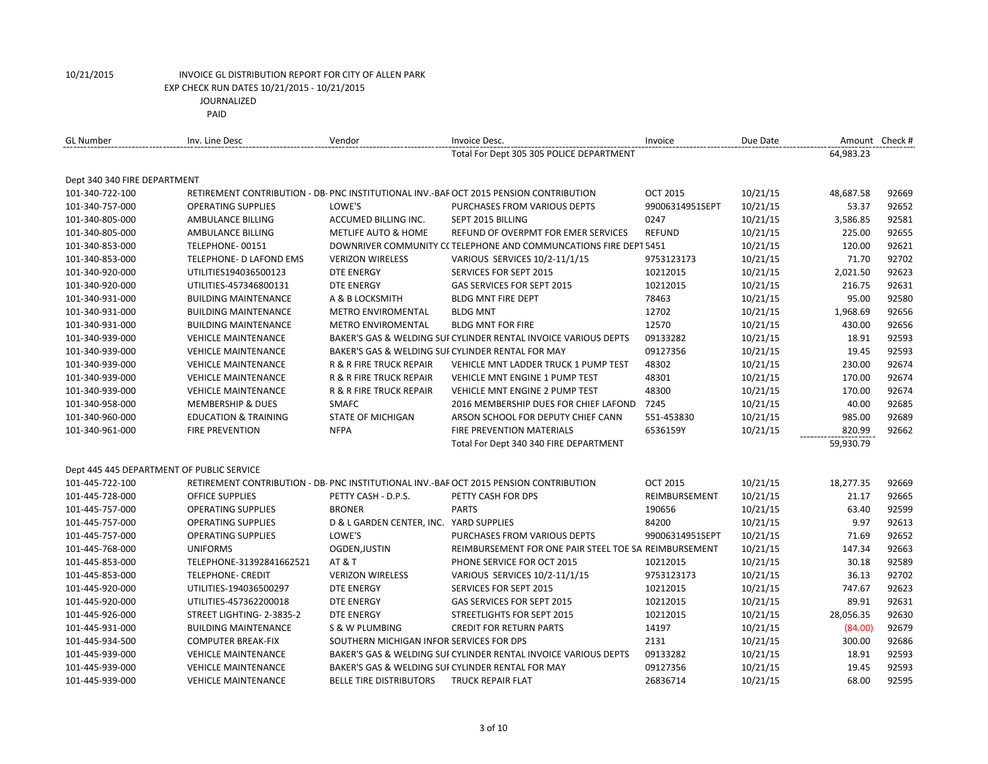| <b>GL Number</b>                          | Inv. Line Desc                  | Vendor                                   | Invoice Desc.                                                                         | Invoice         | Due Date |           | Amount Check # |
|-------------------------------------------|---------------------------------|------------------------------------------|---------------------------------------------------------------------------------------|-----------------|----------|-----------|----------------|
|                                           |                                 |                                          | Total For Dept 305 305 POLICE DEPARTMENT                                              |                 |          | 64,983.23 |                |
| Dept 340 340 FIRE DEPARTMENT              |                                 |                                          |                                                                                       |                 |          |           |                |
| 101-340-722-100                           |                                 |                                          | RETIREMENT CONTRIBUTION - DB-PNC INSTITUTIONAL INV.-BAF OCT 2015 PENSION CONTRIBUTION | <b>OCT 2015</b> | 10/21/15 | 48,687.58 | 92669          |
| 101-340-757-000                           | <b>OPERATING SUPPLIES</b>       | LOWE'S                                   | PURCHASES FROM VARIOUS DEPTS                                                          | 99006314951SEPT | 10/21/15 | 53.37     | 92652          |
| 101-340-805-000                           | AMBULANCE BILLING               | ACCUMED BILLING INC.                     | SEPT 2015 BILLING                                                                     | 0247            | 10/21/15 | 3,586.85  | 92581          |
| 101-340-805-000                           | AMBULANCE BILLING               | <b>METLIFE AUTO &amp; HOME</b>           | REFUND OF OVERPMT FOR EMER SERVICES                                                   | <b>REFUND</b>   | 10/21/15 | 225.00    | 92655          |
| 101-340-853-000                           | TELEPHONE-00151                 |                                          | DOWNRIVER COMMUNITY CCTELEPHONE AND COMMUNCATIONS FIRE DEPT 5451                      |                 | 10/21/15 | 120.00    | 92621          |
| 101-340-853-000                           | TELEPHONE- D LAFOND EMS         | <b>VERIZON WIRELESS</b>                  | VARIOUS SERVICES 10/2-11/1/15                                                         | 9753123173      | 10/21/15 | 71.70     | 92702          |
| 101-340-920-000                           | UTILITIES194036500123           | <b>DTE ENERGY</b>                        | SERVICES FOR SEPT 2015                                                                | 10212015        | 10/21/15 | 2,021.50  | 92623          |
| 101-340-920-000                           | UTILITIES-457346800131          | <b>DTE ENERGY</b>                        | GAS SERVICES FOR SEPT 2015                                                            | 10212015        | 10/21/15 | 216.75    | 92631          |
| 101-340-931-000                           | <b>BUILDING MAINTENANCE</b>     | A & B LOCKSMITH                          | <b>BLDG MNT FIRE DEPT</b>                                                             | 78463           | 10/21/15 | 95.00     | 92580          |
| 101-340-931-000                           | <b>BUILDING MAINTENANCE</b>     | <b>METRO ENVIROMENTAL</b>                | <b>BLDG MNT</b>                                                                       | 12702           | 10/21/15 | 1,968.69  | 92656          |
| 101-340-931-000                           | <b>BUILDING MAINTENANCE</b>     | <b>METRO ENVIROMENTAL</b>                | <b>BLDG MNT FOR FIRE</b>                                                              | 12570           | 10/21/15 | 430.00    | 92656          |
| 101-340-939-000                           | <b>VEHICLE MAINTENANCE</b>      |                                          | BAKER'S GAS & WELDING SUI CYLINDER RENTAL INVOICE VARIOUS DEPTS                       | 09133282        | 10/21/15 | 18.91     | 92593          |
| 101-340-939-000                           | <b>VEHICLE MAINTENANCE</b>      |                                          | BAKER'S GAS & WELDING SUI CYLINDER RENTAL FOR MAY                                     | 09127356        | 10/21/15 | 19.45     | 92593          |
| 101-340-939-000                           | <b>VEHICLE MAINTENANCE</b>      | R & R FIRE TRUCK REPAIR                  | <b>VEHICLE MNT LADDER TRUCK 1 PUMP TEST</b>                                           | 48302           | 10/21/15 | 230.00    | 92674          |
| 101-340-939-000                           | <b>VEHICLE MAINTENANCE</b>      | R & R FIRE TRUCK REPAIR                  | VEHICLE MNT ENGINE 1 PUMP TEST                                                        | 48301           | 10/21/15 | 170.00    | 92674          |
| 101-340-939-000                           | <b>VEHICLE MAINTENANCE</b>      | <b>R &amp; R FIRE TRUCK REPAIR</b>       | <b>VEHICLE MNT ENGINE 2 PUMP TEST</b>                                                 | 48300           | 10/21/15 | 170.00    | 92674          |
| 101-340-958-000                           | <b>MEMBERSHIP &amp; DUES</b>    | <b>SMAFC</b>                             | 2016 MEMBERSHIP DUES FOR CHIEF LAFOND                                                 | 7245            | 10/21/15 | 40.00     | 92685          |
| 101-340-960-000                           | <b>EDUCATION &amp; TRAINING</b> | <b>STATE OF MICHIGAN</b>                 | ARSON SCHOOL FOR DEPUTY CHIEF CANN                                                    | 551-453830      | 10/21/15 | 985.00    | 92689          |
| 101-340-961-000                           | <b>FIRE PREVENTION</b>          | <b>NFPA</b>                              | <b>FIRE PREVENTION MATERIALS</b>                                                      | 6536159Y        | 10/21/15 | 820.99    | 92662          |
|                                           |                                 |                                          | Total For Dept 340 340 FIRE DEPARTMENT                                                |                 |          | 59,930.79 |                |
| Dept 445 445 DEPARTMENT OF PUBLIC SERVICE |                                 |                                          |                                                                                       |                 |          |           |                |
| 101-445-722-100                           |                                 |                                          | RETIREMENT CONTRIBUTION - DB-PNC INSTITUTIONAL INV.-BAF OCT 2015 PENSION CONTRIBUTION | <b>OCT 2015</b> | 10/21/15 | 18,277.35 | 92669          |
| 101-445-728-000                           | <b>OFFICE SUPPLIES</b>          | PETTY CASH - D.P.S.                      | PETTY CASH FOR DPS                                                                    | REIMBURSEMENT   | 10/21/15 | 21.17     | 92665          |
| 101-445-757-000                           | <b>OPERATING SUPPLIES</b>       | <b>BRONER</b>                            | <b>PARTS</b>                                                                          | 190656          | 10/21/15 | 63.40     | 92599          |
| 101-445-757-000                           | <b>OPERATING SUPPLIES</b>       | D & L GARDEN CENTER, INC. YARD SUPPLIES  |                                                                                       | 84200           | 10/21/15 | 9.97      | 92613          |
| 101-445-757-000                           | <b>OPERATING SUPPLIES</b>       | LOWE'S                                   | PURCHASES FROM VARIOUS DEPTS                                                          | 99006314951SEPT | 10/21/15 | 71.69     | 92652          |
| 101-445-768-000                           | <b>UNIFORMS</b>                 | OGDEN, JUSTIN                            | REIMBURSEMENT FOR ONE PAIR STEEL TOE SA REIMBURSEMENT                                 |                 | 10/21/15 | 147.34    | 92663          |
| 101-445-853-000                           | TELEPHONE-31392841662521        | <b>AT &amp; T</b>                        | PHONE SERVICE FOR OCT 2015                                                            | 10212015        | 10/21/15 | 30.18     | 92589          |
| 101-445-853-000                           | <b>TELEPHONE- CREDIT</b>        | <b>VERIZON WIRELESS</b>                  | VARIOUS SERVICES 10/2-11/1/15                                                         | 9753123173      | 10/21/15 | 36.13     | 92702          |
| 101-445-920-000                           | UTILITIES-194036500297          | <b>DTE ENERGY</b>                        | <b>SERVICES FOR SEPT 2015</b>                                                         | 10212015        | 10/21/15 | 747.67    | 92623          |
| 101-445-920-000                           | UTILITIES-457362200018          | <b>DTE ENERGY</b>                        | GAS SERVICES FOR SEPT 2015                                                            | 10212015        | 10/21/15 | 89.91     | 92631          |
| 101-445-926-000                           | STREET LIGHTING- 2-3835-2       | <b>DTE ENERGY</b>                        | <b>STREETLIGHTS FOR SEPT 2015</b>                                                     | 10212015        | 10/21/15 | 28,056.35 | 92630          |
| 101-445-931-000                           | <b>BUILDING MAINTENANCE</b>     | <b>S &amp; W PLUMBING</b>                | <b>CREDIT FOR RETURN PARTS</b>                                                        | 14197           | 10/21/15 | (84.00)   | 92679          |
| 101-445-934-500                           | <b>COMPUTER BREAK-FIX</b>       | SOUTHERN MICHIGAN INFOR SERVICES FOR DPS |                                                                                       | 2131            | 10/21/15 | 300.00    | 92686          |
| 101-445-939-000                           | <b>VEHICLE MAINTENANCE</b>      |                                          | BAKER'S GAS & WELDING SUI CYLINDER RENTAL INVOICE VARIOUS DEPTS                       | 09133282        | 10/21/15 | 18.91     | 92593          |
| 101-445-939-000                           | <b>VEHICLE MAINTENANCE</b>      |                                          | BAKER'S GAS & WELDING SUI CYLINDER RENTAL FOR MAY                                     | 09127356        | 10/21/15 | 19.45     | 92593          |
| 101-445-939-000                           | <b>VEHICLE MAINTENANCE</b>      | <b>BELLE TIRE DISTRIBUTORS</b>           | <b>TRUCK REPAIR FLAT</b>                                                              | 26836714        | 10/21/15 | 68.00     | 92595          |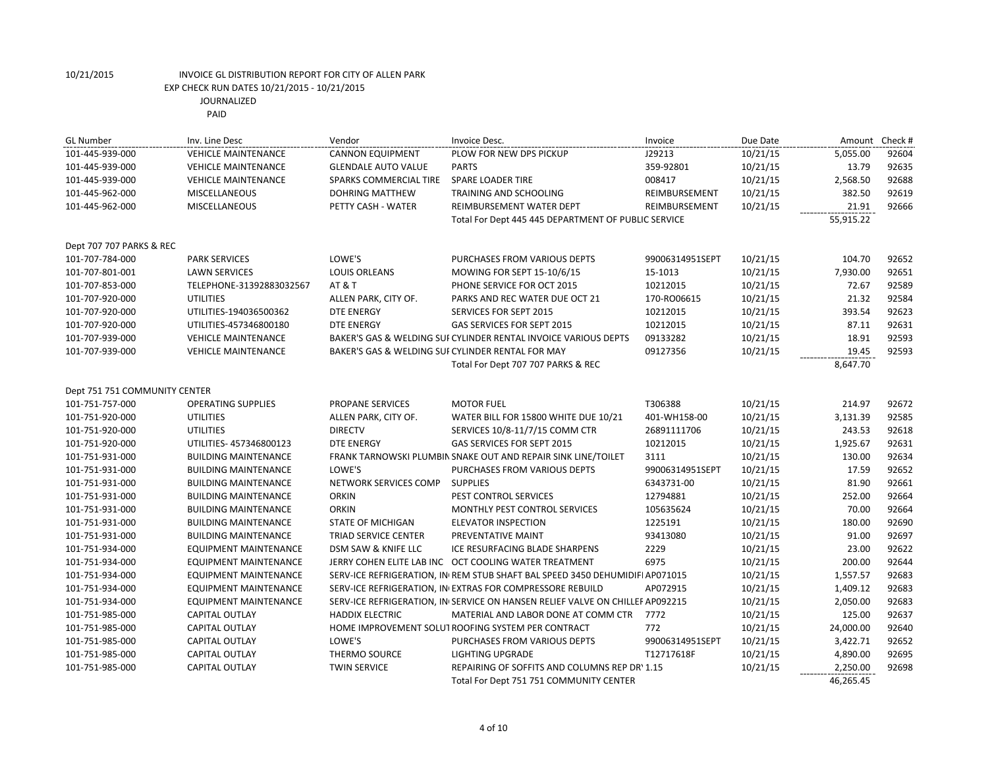| <b>GL Number</b>              | Inv. Line Desc               | Vendor                     | Invoice Desc.                                                                 | Invoice         | Due Date | Amount    | Check # |
|-------------------------------|------------------------------|----------------------------|-------------------------------------------------------------------------------|-----------------|----------|-----------|---------|
| 101-445-939-000               | <b>VEHICLE MAINTENANCE</b>   | <b>CANNON EQUIPMENT</b>    | PLOW FOR NEW DPS PICKUP                                                       | J29213          | 10/21/15 | 5,055.00  | 92604   |
| 101-445-939-000               | <b>VEHICLE MAINTENANCE</b>   | <b>GLENDALE AUTO VALUE</b> | <b>PARTS</b>                                                                  | 359-92801       | 10/21/15 | 13.79     | 92635   |
| 101-445-939-000               | <b>VEHICLE MAINTENANCE</b>   | SPARKS COMMERCIAL TIRE     | <b>SPARE LOADER TIRE</b>                                                      | 008417          | 10/21/15 | 2,568.50  | 92688   |
| 101-445-962-000               | <b>MISCELLANEOUS</b>         | <b>DOHRING MATTHEW</b>     | TRAINING AND SCHOOLING                                                        | REIMBURSEMENT   | 10/21/15 | 382.50    | 92619   |
| 101-445-962-000               | <b>MISCELLANEOUS</b>         | PETTY CASH - WATER         | REIMBURSEMENT WATER DEPT                                                      | REIMBURSEMENT   | 10/21/15 | 21.91     | 92666   |
|                               |                              |                            | Total For Dept 445 445 DEPARTMENT OF PUBLIC SERVICE                           |                 |          | 55,915.22 |         |
|                               |                              |                            |                                                                               |                 |          |           |         |
| Dept 707 707 PARKS & REC      |                              |                            |                                                                               |                 |          |           |         |
| 101-707-784-000               | <b>PARK SERVICES</b>         | LOWE'S                     | PURCHASES FROM VARIOUS DEPTS                                                  | 99006314951SEPT | 10/21/15 | 104.70    | 92652   |
| 101-707-801-001               | <b>LAWN SERVICES</b>         | <b>LOUIS ORLEANS</b>       | MOWING FOR SEPT 15-10/6/15                                                    | 15-1013         | 10/21/15 | 7,930.00  | 92651   |
| 101-707-853-000               | TELEPHONE-31392883032567     | AT & T                     | PHONE SERVICE FOR OCT 2015                                                    | 10212015        | 10/21/15 | 72.67     | 92589   |
| 101-707-920-000               | <b>UTILITIES</b>             | ALLEN PARK, CITY OF.       | PARKS AND REC WATER DUE OCT 21                                                | 170-RO06615     | 10/21/15 | 21.32     | 92584   |
| 101-707-920-000               | UTILITIES-194036500362       | <b>DTE ENERGY</b>          | SERVICES FOR SEPT 2015                                                        | 10212015        | 10/21/15 | 393.54    | 92623   |
| 101-707-920-000               | UTILITIES-457346800180       | <b>DTE ENERGY</b>          | GAS SERVICES FOR SEPT 2015                                                    | 10212015        | 10/21/15 | 87.11     | 92631   |
| 101-707-939-000               | <b>VEHICLE MAINTENANCE</b>   |                            | BAKER'S GAS & WELDING SUI CYLINDER RENTAL INVOICE VARIOUS DEPTS               | 09133282        | 10/21/15 | 18.91     | 92593   |
| 101-707-939-000               | <b>VEHICLE MAINTENANCE</b>   |                            | BAKER'S GAS & WELDING SUI CYLINDER RENTAL FOR MAY                             | 09127356        | 10/21/15 | 19.45     | 92593   |
|                               |                              |                            | Total For Dept 707 707 PARKS & REC                                            |                 |          | 8,647.70  |         |
| Dept 751 751 COMMUNITY CENTER |                              |                            |                                                                               |                 |          |           |         |
| 101-751-757-000               | <b>OPERATING SUPPLIES</b>    | PROPANE SERVICES           | <b>MOTOR FUEL</b>                                                             | T306388         | 10/21/15 | 214.97    | 92672   |
| 101-751-920-000               | <b>UTILITIES</b>             | ALLEN PARK, CITY OF.       | WATER BILL FOR 15800 WHITE DUE 10/21                                          | 401-WH158-00    | 10/21/15 | 3,131.39  | 92585   |
| 101-751-920-000               | <b>UTILITIES</b>             | <b>DIRECTV</b>             | SERVICES 10/8-11/7/15 COMM CTR                                                | 26891111706     | 10/21/15 | 243.53    | 92618   |
| 101-751-920-000               | UTILITIES- 457346800123      | <b>DTE ENERGY</b>          | GAS SERVICES FOR SEPT 2015                                                    | 10212015        | 10/21/15 | 1,925.67  | 92631   |
| 101-751-931-000               | <b>BUILDING MAINTENANCE</b>  |                            | FRANK TARNOWSKI PLUMBIN SNAKE OUT AND REPAIR SINK LINE/TOILET                 | 3111            | 10/21/15 | 130.00    | 92634   |
| 101-751-931-000               | <b>BUILDING MAINTENANCE</b>  | LOWE'S                     | PURCHASES FROM VARIOUS DEPTS                                                  | 99006314951SEPT | 10/21/15 | 17.59     | 92652   |
| 101-751-931-000               | <b>BUILDING MAINTENANCE</b>  | NETWORK SERVICES COMP      | <b>SUPPLIES</b>                                                               | 6343731-00      | 10/21/15 | 81.90     | 92661   |
| 101-751-931-000               | <b>BUILDING MAINTENANCE</b>  | <b>ORKIN</b>               | PEST CONTROL SERVICES                                                         | 12794881        | 10/21/15 | 252.00    | 92664   |
| 101-751-931-000               | <b>BUILDING MAINTENANCE</b>  | <b>ORKIN</b>               | MONTHLY PEST CONTROL SERVICES                                                 | 105635624       | 10/21/15 | 70.00     | 92664   |
| 101-751-931-000               | <b>BUILDING MAINTENANCE</b>  | <b>STATE OF MICHIGAN</b>   | <b>ELEVATOR INSPECTION</b>                                                    | 1225191         | 10/21/15 | 180.00    | 92690   |
| 101-751-931-000               | <b>BUILDING MAINTENANCE</b>  | TRIAD SERVICE CENTER       | PREVENTATIVE MAINT                                                            | 93413080        | 10/21/15 | 91.00     | 92697   |
| 101-751-934-000               | <b>EQUIPMENT MAINTENANCE</b> | DSM SAW & KNIFE LLC        | ICE RESURFACING BLADE SHARPENS                                                | 2229            | 10/21/15 | 23.00     | 92622   |
| 101-751-934-000               | <b>EQUIPMENT MAINTENANCE</b> |                            | JERRY COHEN ELITE LAB INC OCT COOLING WATER TREATMENT                         | 6975            | 10/21/15 | 200.00    | 92644   |
| 101-751-934-000               | <b>EQUIPMENT MAINTENANCE</b> |                            | SERV-ICE REFRIGERATION, IN REM STUB SHAFT BAL SPEED 3450 DEHUMIDIFI AP071015  |                 | 10/21/15 | 1,557.57  | 92683   |
| 101-751-934-000               | <b>EQUIPMENT MAINTENANCE</b> |                            | SERV-ICE REFRIGERATION, IN EXTRAS FOR COMPRESSORE REBUILD                     | AP072915        | 10/21/15 | 1,409.12  | 92683   |
| 101-751-934-000               | <b>EQUIPMENT MAINTENANCE</b> |                            | SERV-ICE REFRIGERATION, IN SERVICE ON HANSEN RELIEF VALVE ON CHILLEF AP092215 |                 | 10/21/15 | 2,050.00  | 92683   |
| 101-751-985-000               | <b>CAPITAL OUTLAY</b>        | <b>HADDIX ELECTRIC</b>     | MATERIAL AND LABOR DONE AT COMM CTR                                           | 7772            | 10/21/15 | 125.00    | 92637   |
| 101-751-985-000               | CAPITAL OUTLAY               |                            | HOME IMPROVEMENT SOLUT ROOFING SYSTEM PER CONTRACT                            | 772             | 10/21/15 | 24,000.00 | 92640   |
| 101-751-985-000               | <b>CAPITAL OUTLAY</b>        | LOWE'S                     | PURCHASES FROM VARIOUS DEPTS                                                  | 99006314951SEPT | 10/21/15 | 3,422.71  | 92652   |
| 101-751-985-000               | CAPITAL OUTLAY               | THERMO SOURCE              | <b>LIGHTING UPGRADE</b>                                                       | T12717618F      | 10/21/15 | 4,890.00  | 92695   |
| 101-751-985-000               | <b>CAPITAL OUTLAY</b>        | <b>TWIN SERVICE</b>        | REPAIRING OF SOFFITS AND COLUMNS REP DR' 1.15                                 |                 | 10/21/15 | 2,250.00  | 92698   |
|                               |                              |                            | Total For Dept 751 751 COMMUNITY CENTER                                       |                 |          | 46,265.45 |         |
|                               |                              |                            |                                                                               |                 |          |           |         |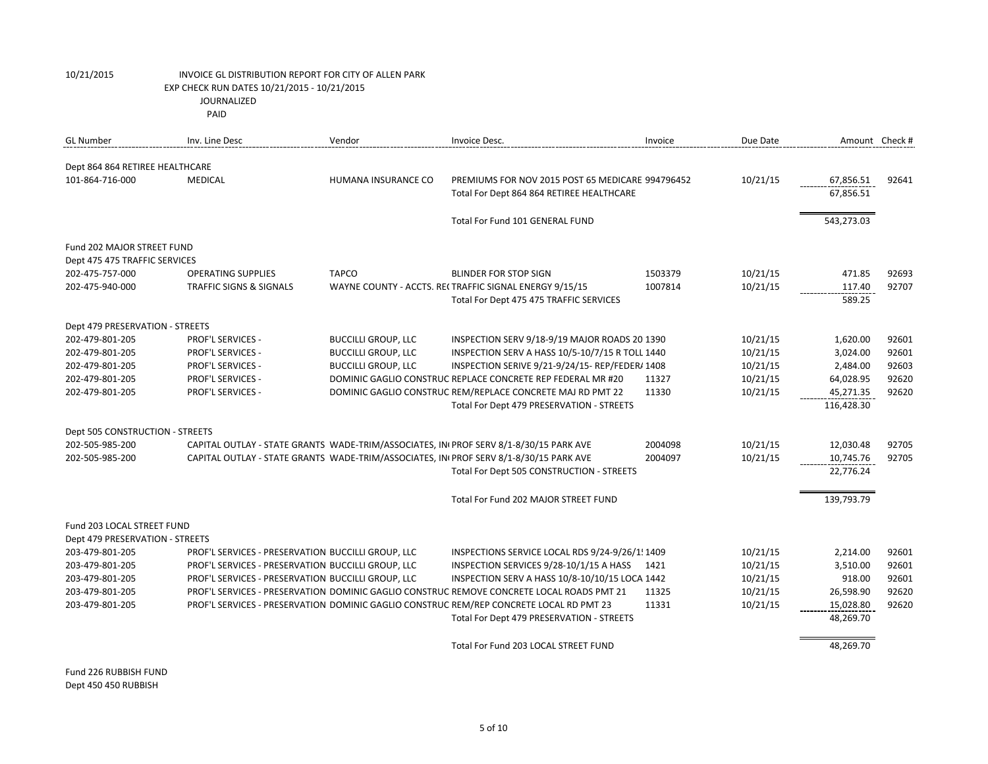| <b>GL Number</b>                | Inv. Line Desc                                     | Vendor                     | Invoice Desc.                                                                             | Invoice | Due Date | Amount Check # |       |
|---------------------------------|----------------------------------------------------|----------------------------|-------------------------------------------------------------------------------------------|---------|----------|----------------|-------|
| Dept 864 864 RETIREE HEALTHCARE |                                                    |                            |                                                                                           |         |          |                |       |
| 101-864-716-000                 | <b>MEDICAL</b>                                     | HUMANA INSURANCE CO        | PREMIUMS FOR NOV 2015 POST 65 MEDICARE 994796452                                          |         | 10/21/15 | 67,856.51      | 92641 |
|                                 |                                                    |                            | Total For Dept 864 864 RETIREE HEALTHCARE                                                 |         |          | 67,856.51      |       |
|                                 |                                                    |                            |                                                                                           |         |          |                |       |
|                                 |                                                    |                            | Total For Fund 101 GENERAL FUND                                                           |         |          | 543,273.03     |       |
| Fund 202 MAJOR STREET FUND      |                                                    |                            |                                                                                           |         |          |                |       |
| Dept 475 475 TRAFFIC SERVICES   |                                                    |                            |                                                                                           |         |          |                |       |
| 202-475-757-000                 | <b>OPERATING SUPPLIES</b>                          | <b>TAPCO</b>               | <b>BLINDER FOR STOP SIGN</b>                                                              | 1503379 | 10/21/15 | 471.85         | 92693 |
| 202-475-940-000                 | <b>TRAFFIC SIGNS &amp; SIGNALS</b>                 |                            | WAYNE COUNTY - ACCTS. RECTRAFFIC SIGNAL ENERGY 9/15/15                                    | 1007814 | 10/21/15 | 117.40         | 92707 |
|                                 |                                                    |                            | Total For Dept 475 475 TRAFFIC SERVICES                                                   |         |          | 589.25         |       |
| Dept 479 PRESERVATION - STREETS |                                                    |                            |                                                                                           |         |          |                |       |
| 202-479-801-205                 | <b>PROF'L SERVICES -</b>                           | <b>BUCCILLI GROUP, LLC</b> | INSPECTION SERV 9/18-9/19 MAJOR ROADS 20 1390                                             |         | 10/21/15 | 1,620.00       | 92601 |
| 202-479-801-205                 | <b>PROF'L SERVICES -</b>                           | <b>BUCCILLI GROUP, LLC</b> | INSPECTION SERV A HASS 10/5-10/7/15 R TOLL 1440                                           |         | 10/21/15 | 3,024.00       | 92601 |
| 202-479-801-205                 | <b>PROF'L SERVICES -</b>                           | <b>BUCCILLI GROUP, LLC</b> | INSPECTION SERIVE 9/21-9/24/15-REP/FEDER/ 1408                                            |         | 10/21/15 | 2,484.00       | 92603 |
| 202-479-801-205                 | PROF'L SERVICES -                                  |                            | DOMINIC GAGLIO CONSTRUC REPLACE CONCRETE REP FEDERAL MR #20                               | 11327   | 10/21/15 | 64,028.95      | 92620 |
| 202-479-801-205                 | PROF'L SERVICES -                                  |                            | DOMINIC GAGLIO CONSTRUC REM/REPLACE CONCRETE MAJ RD PMT 22                                | 11330   | 10/21/15 | 45,271.35      | 92620 |
|                                 |                                                    |                            | Total For Dept 479 PRESERVATION - STREETS                                                 |         |          | 116,428.30     |       |
| Dept 505 CONSTRUCTION - STREETS |                                                    |                            |                                                                                           |         |          |                |       |
| 202-505-985-200                 |                                                    |                            | CAPITAL OUTLAY - STATE GRANTS WADE-TRIM/ASSOCIATES, IN PROF SERV 8/1-8/30/15 PARK AVE     | 2004098 | 10/21/15 | 12,030.48      | 92705 |
| 202-505-985-200                 |                                                    |                            | CAPITAL OUTLAY - STATE GRANTS WADE-TRIM/ASSOCIATES, IN PROF SERV 8/1-8/30/15 PARK AVE     | 2004097 | 10/21/15 | 10,745.76      | 92705 |
|                                 |                                                    |                            | Total For Dept 505 CONSTRUCTION - STREETS                                                 |         |          | 22,776.24      |       |
|                                 |                                                    |                            |                                                                                           |         |          |                |       |
|                                 |                                                    |                            | Total For Fund 202 MAJOR STREET FUND                                                      |         |          | 139,793.79     |       |
| Fund 203 LOCAL STREET FUND      |                                                    |                            |                                                                                           |         |          |                |       |
| Dept 479 PRESERVATION - STREETS |                                                    |                            |                                                                                           |         |          |                |       |
| 203-479-801-205                 | PROF'L SERVICES - PRESERVATION BUCCILLI GROUP, LLC |                            | INSPECTIONS SERVICE LOCAL RDS 9/24-9/26/1! 1409                                           |         | 10/21/15 | 2,214.00       | 92601 |
| 203-479-801-205                 | PROF'L SERVICES - PRESERVATION BUCCILLI GROUP, LLC |                            | INSPECTION SERVICES 9/28-10/1/15 A HASS                                                   | 1421    | 10/21/15 | 3,510.00       | 92601 |
| 203-479-801-205                 | PROF'L SERVICES - PRESERVATION BUCCILLI GROUP, LLC |                            | INSPECTION SERV A HASS 10/8-10/10/15 LOCA 1442                                            |         | 10/21/15 | 918.00         | 92601 |
| 203-479-801-205                 |                                                    |                            | PROF'L SERVICES - PRESERVATION DOMINIC GAGLIO CONSTRUC REMOVE CONCRETE LOCAL ROADS PMT 21 | 11325   | 10/21/15 | 26,598.90      | 92620 |
| 203-479-801-205                 |                                                    |                            | PROF'L SERVICES - PRESERVATION DOMINIC GAGLIO CONSTRUC REM/REP CONCRETE LOCAL RD PMT 23   | 11331   | 10/21/15 | 15,028.80      | 92620 |
|                                 |                                                    |                            | Total For Dept 479 PRESERVATION - STREETS                                                 |         |          | 48,269.70      |       |
|                                 |                                                    |                            |                                                                                           |         |          |                |       |
|                                 |                                                    |                            | Total For Fund 203 LOCAL STREET FUND                                                      |         |          | 48.269.70      |       |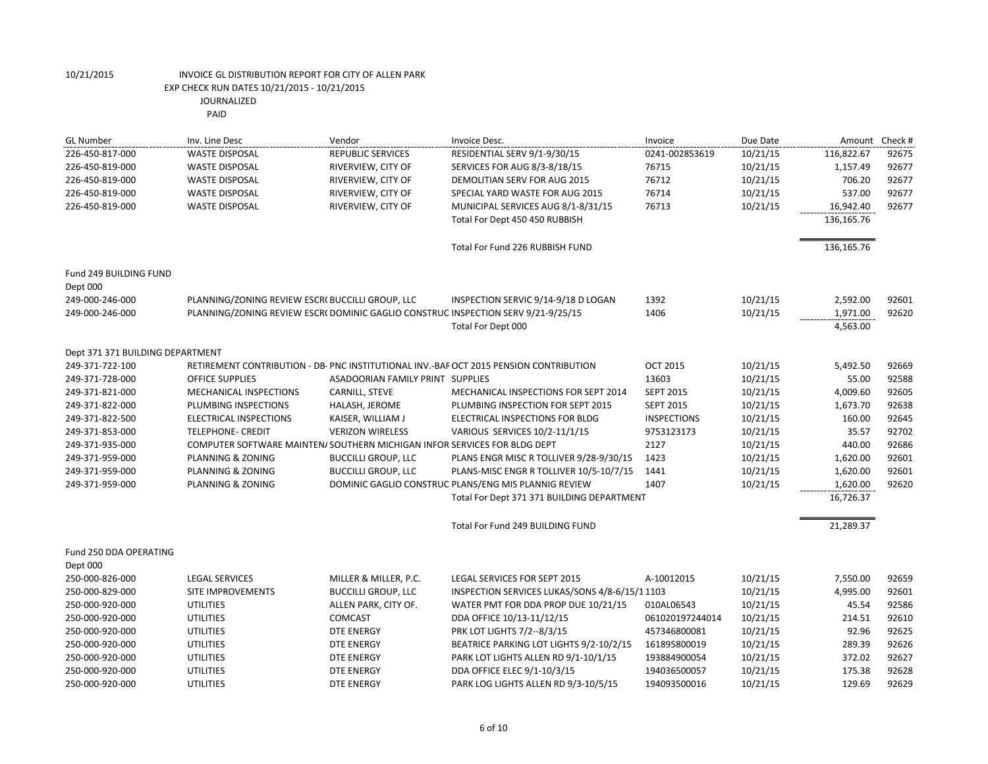| <b>GL Number</b>                 | Inv. Line Desc                                                                   | Vendor                           | Invoice Desc.                                                                          | Invoice            | Due Date | Amount Check # |       |
|----------------------------------|----------------------------------------------------------------------------------|----------------------------------|----------------------------------------------------------------------------------------|--------------------|----------|----------------|-------|
| 226-450-817-000                  | <b>WASTE DISPOSAL</b>                                                            | <b>REPUBLIC SERVICES</b>         | RESIDENTIAL SERV 9/1-9/30/15                                                           | 0241-002853619     | 10/21/15 | 116,822.67     | 92675 |
| 226-450-819-000                  | <b>WASTE DISPOSAL</b>                                                            | RIVERVIEW, CITY OF               | SERVICES FOR AUG 8/3-8/18/15                                                           | 76715              | 10/21/15 | 1,157.49       | 92677 |
| 226-450-819-000                  | <b>WASTE DISPOSAL</b>                                                            | RIVERVIEW, CITY OF               | DEMOLITIAN SERV FOR AUG 2015                                                           | 76712              | 10/21/15 | 706.20         | 92677 |
| 226-450-819-000                  | <b>WASTE DISPOSAL</b>                                                            | RIVERVIEW, CITY OF               | SPECIAL YARD WASTE FOR AUG 2015                                                        | 76714              | 10/21/15 | 537.00         | 92677 |
| 226-450-819-000                  | <b>WASTE DISPOSAL</b>                                                            | RIVERVIEW, CITY OF               | MUNICIPAL SERVICES AUG 8/1-8/31/15                                                     | 76713              | 10/21/15 | 16,942.40      | 92677 |
|                                  |                                                                                  |                                  | Total For Dept 450 450 RUBBISH                                                         |                    |          | 136,165.76     |       |
|                                  |                                                                                  |                                  | Total For Fund 226 RUBBISH FUND                                                        |                    |          | 136,165.76     |       |
| Fund 249 BUILDING FUND           |                                                                                  |                                  |                                                                                        |                    |          |                |       |
| Dept 000                         |                                                                                  |                                  |                                                                                        |                    |          |                |       |
| 249-000-246-000                  | PLANNING/ZONING REVIEW ESCR( BUCCILLI GROUP, LLC                                 |                                  | INSPECTION SERVIC 9/14-9/18 D LOGAN                                                    | 1392               | 10/21/15 | 2,592.00       | 92601 |
| 249-000-246-000                  | PLANNING/ZONING REVIEW ESCR(DOMINIC GAGLIO CONSTRUC INSPECTION SERV 9/21-9/25/15 |                                  |                                                                                        | 1406               | 10/21/15 | 1,971.00       | 92620 |
|                                  |                                                                                  |                                  | Total For Dept 000                                                                     |                    |          | 4,563.00       |       |
| Dept 371 371 BUILDING DEPARTMENT |                                                                                  |                                  |                                                                                        |                    |          |                |       |
| 249-371-722-100                  |                                                                                  |                                  | RETIREMENT CONTRIBUTION - DB- PNC INSTITUTIONAL INV.-BAF OCT 2015 PENSION CONTRIBUTION | <b>OCT 2015</b>    | 10/21/15 | 5,492.50       | 92669 |
| 249-371-728-000                  | <b>OFFICE SUPPLIES</b>                                                           | ASADOORIAN FAMILY PRINT SUPPLIES |                                                                                        | 13603              | 10/21/15 | 55.00          | 92588 |
| 249-371-821-000                  | MECHANICAL INSPECTIONS                                                           | CARNILL, STEVE                   | MECHANICAL INSPECTIONS FOR SEPT 2014                                                   | <b>SEPT 2015</b>   | 10/21/15 | 4,009.60       | 92605 |
| 249-371-822-000                  | PLUMBING INSPECTIONS                                                             | HALASH, JEROME                   | PLUMBING INSPECTION FOR SEPT 2015                                                      | <b>SEPT 2015</b>   | 10/21/15 | 1,673.70       | 92638 |
| 249-371-822-500                  | ELECTRICAL INSPECTIONS                                                           | KAISER, WILLIAM J                | ELECTRICAL INSPECTIONS FOR BLDG                                                        | <b>INSPECTIONS</b> | 10/21/15 | 160.00         | 92645 |
| 249-371-853-000                  | <b>TELEPHONE- CREDIT</b>                                                         | <b>VERIZON WIRELESS</b>          | VARIOUS SERVICES 10/2-11/1/15                                                          | 9753123173         | 10/21/15 | 35.57          | 92702 |
| 249-371-935-000                  | COMPUTER SOFTWARE MAINTEN/ SOUTHERN MICHIGAN INFOR SERVICES FOR BLDG DEPT        |                                  |                                                                                        | 2127               | 10/21/15 | 440.00         | 92686 |
| 249-371-959-000                  | PLANNING & ZONING                                                                | <b>BUCCILLI GROUP, LLC</b>       | PLANS ENGR MISC R TOLLIVER 9/28-9/30/15                                                | 1423               | 10/21/15 | 1,620.00       | 92601 |
| 249-371-959-000                  | PLANNING & ZONING                                                                | <b>BUCCILLI GROUP, LLC</b>       | PLANS-MISC ENGR R TOLLIVER 10/5-10/7/15                                                | 1441               | 10/21/15 | 1,620.00       | 92601 |
| 249-371-959-000                  | PLANNING & ZONING                                                                |                                  | DOMINIC GAGLIO CONSTRUC PLANS/ENG MIS PLANNIG REVIEW                                   | 1407               | 10/21/15 | 1,620.00       | 92620 |
|                                  |                                                                                  |                                  | Total For Dept 371 371 BUILDING DEPARTMENT                                             |                    |          | 16,726.37      |       |
|                                  |                                                                                  |                                  | Total For Fund 249 BUILDING FUND                                                       |                    |          | 21,289.37      |       |
| Fund 250 DDA OPERATING           |                                                                                  |                                  |                                                                                        |                    |          |                |       |
| Dept 000                         |                                                                                  |                                  |                                                                                        |                    |          |                |       |
| 250-000-826-000                  | <b>LEGAL SERVICES</b>                                                            | MILLER & MILLER, P.C.            | LEGAL SERVICES FOR SEPT 2015                                                           | A-10012015         | 10/21/15 | 7,550.00       | 92659 |
| 250-000-829-000                  | SITE IMPROVEMENTS                                                                | <b>BUCCILLI GROUP, LLC</b>       | INSPECTION SERVICES LUKAS/SONS 4/8-6/15/1 1103                                         |                    | 10/21/15 | 4,995.00       | 92601 |
| 250-000-920-000                  | <b>UTILITIES</b>                                                                 | ALLEN PARK, CITY OF.             | WATER PMT FOR DDA PROP DUE 10/21/15                                                    | 010AL06543         | 10/21/15 | 45.54          | 92586 |
| 250-000-920-000                  | <b>UTILITIES</b>                                                                 | <b>COMCAST</b>                   | DDA OFFICE 10/13-11/12/15                                                              | 061020197244014    | 10/21/15 | 214.51         | 92610 |
| 250-000-920-000                  | <b>UTILITIES</b>                                                                 | <b>DTE ENERGY</b>                | PRK LOT LIGHTS 7/2--8/3/15                                                             | 457346800081       | 10/21/15 | 92.96          | 92625 |
| 250-000-920-000                  | <b>UTILITIES</b>                                                                 | <b>DTE ENERGY</b>                | BEATRICE PARKING LOT LIGHTS 9/2-10/2/15                                                | 161895800019       | 10/21/15 | 289.39         | 92626 |
| 250-000-920-000                  | <b>UTILITIES</b>                                                                 | <b>DTE ENERGY</b>                | PARK LOT LIGHTS ALLEN RD 9/1-10/1/15                                                   | 193884900054       | 10/21/15 | 372.02         | 92627 |
| 250-000-920-000                  | <b>UTILITIES</b>                                                                 | <b>DTE ENERGY</b>                | DDA OFFICE ELEC 9/1-10/3/15                                                            | 194036500057       | 10/21/15 | 175.38         | 92628 |
| 250-000-920-000                  | <b>UTILITIES</b>                                                                 | <b>DTE ENERGY</b>                | PARK LOG LIGHTS ALLEN RD 9/3-10/5/15                                                   | 194093500016       | 10/21/15 | 129.69         | 92629 |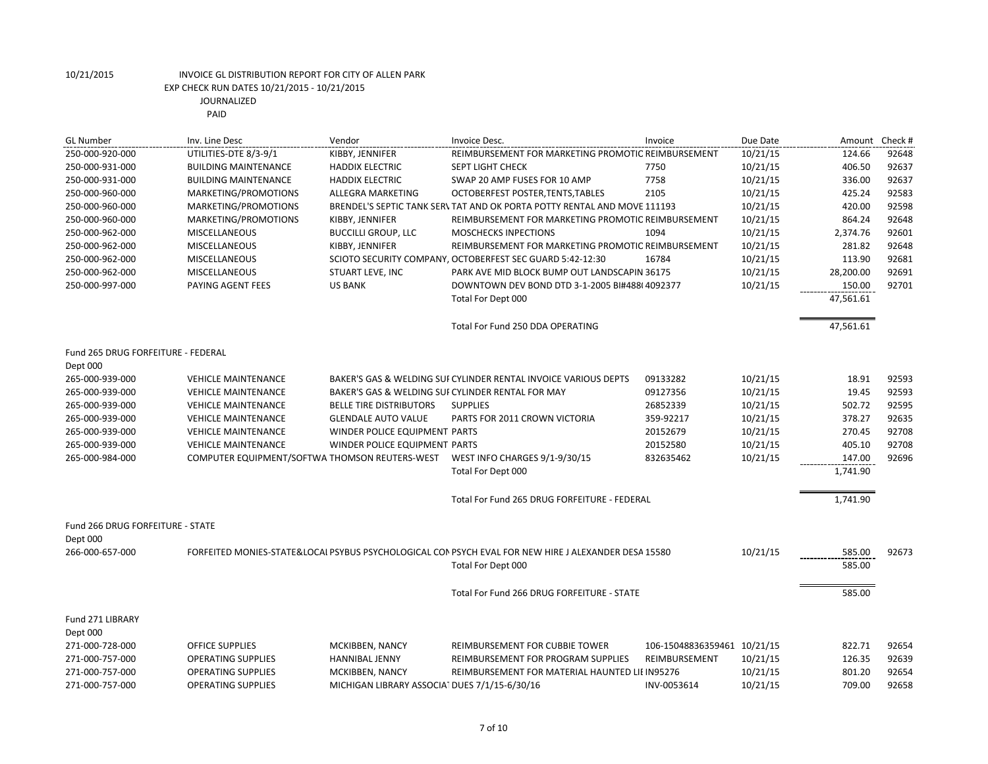| <b>GL Number</b>                   | Inv. Line Desc                                 | Vendor                                            | Invoice Desc.                                                                                        | Invoice                     | Due Date |           | Amount Check # |
|------------------------------------|------------------------------------------------|---------------------------------------------------|------------------------------------------------------------------------------------------------------|-----------------------------|----------|-----------|----------------|
| 250-000-920-000                    | UTILITIES-DTE 8/3-9/1                          | KIBBY, JENNIFER                                   | REIMBURSEMENT FOR MARKETING PROMOTIC REIMBURSEMENT                                                   |                             | 10/21/15 | 124.66    | 92648          |
| 250-000-931-000                    | <b>BUILDING MAINTENANCE</b>                    | <b>HADDIX ELECTRIC</b>                            | <b>SEPT LIGHT CHECK</b>                                                                              | 7750                        | 10/21/15 | 406.50    | 92637          |
| 250-000-931-000                    | <b>BUILDING MAINTENANCE</b>                    | <b>HADDIX ELECTRIC</b>                            | SWAP 20 AMP FUSES FOR 10 AMP                                                                         | 7758                        | 10/21/15 | 336.00    | 92637          |
| 250-000-960-000                    | MARKETING/PROMOTIONS                           | ALLEGRA MARKETING                                 | OCTOBERFEST POSTER, TENTS, TABLES                                                                    | 2105                        | 10/21/15 | 425.24    | 92583          |
| 250-000-960-000                    | MARKETING/PROMOTIONS                           |                                                   | BRENDEL'S SEPTIC TANK SER\TAT AND OK PORTA POTTY RENTAL AND MOVE 111193                              |                             | 10/21/15 | 420.00    | 92598          |
| 250-000-960-000                    | MARKETING/PROMOTIONS                           | KIBBY, JENNIFER                                   | REIMBURSEMENT FOR MARKETING PROMOTIC REIMBURSEMENT                                                   |                             | 10/21/15 | 864.24    | 92648          |
| 250-000-962-000                    | <b>MISCELLANEOUS</b>                           | <b>BUCCILLI GROUP, LLC</b>                        | <b>MOSCHECKS INPECTIONS</b>                                                                          | 1094                        | 10/21/15 | 2,374.76  | 92601          |
| 250-000-962-000                    | <b>MISCELLANEOUS</b>                           | KIBBY, JENNIFER                                   | REIMBURSEMENT FOR MARKETING PROMOTIC REIMBURSEMENT                                                   |                             | 10/21/15 | 281.82    | 92648          |
| 250-000-962-000                    | MISCELLANEOUS                                  |                                                   | SCIOTO SECURITY COMPANY, OCTOBERFEST SEC GUARD 5:42-12:30                                            | 16784                       | 10/21/15 | 113.90    | 92681          |
| 250-000-962-000                    | MISCELLANEOUS                                  | STUART LEVE, INC                                  | PARK AVE MID BLOCK BUMP OUT LANDSCAPIN 36175                                                         |                             | 10/21/15 | 28,200.00 | 92691          |
| 250-000-997-000                    | PAYING AGENT FEES                              | <b>US BANK</b>                                    | DOWNTOWN DEV BOND DTD 3-1-2005 BI#488(4092377                                                        |                             | 10/21/15 | 150.00    | 92701          |
|                                    |                                                |                                                   | Total For Dept 000                                                                                   |                             |          | 47,561.61 |                |
|                                    |                                                |                                                   | Total For Fund 250 DDA OPERATING                                                                     |                             |          | 47,561.61 |                |
| Fund 265 DRUG FORFEITURE - FEDERAL |                                                |                                                   |                                                                                                      |                             |          |           |                |
| Dept 000                           |                                                |                                                   |                                                                                                      |                             |          |           |                |
| 265-000-939-000                    | <b>VEHICLE MAINTENANCE</b>                     |                                                   | BAKER'S GAS & WELDING SUI CYLINDER RENTAL INVOICE VARIOUS DEPTS                                      | 09133282                    | 10/21/15 | 18.91     | 92593          |
| 265-000-939-000                    | <b>VEHICLE MAINTENANCE</b>                     | BAKER'S GAS & WELDING SUI CYLINDER RENTAL FOR MAY |                                                                                                      | 09127356                    | 10/21/15 | 19.45     | 92593          |
| 265-000-939-000                    | <b>VEHICLE MAINTENANCE</b>                     | <b>BELLE TIRE DISTRIBUTORS</b>                    | <b>SUPPLIES</b>                                                                                      | 26852339                    | 10/21/15 | 502.72    | 92595          |
| 265-000-939-000                    | <b>VEHICLE MAINTENANCE</b>                     | <b>GLENDALE AUTO VALUE</b>                        | PARTS FOR 2011 CROWN VICTORIA                                                                        | 359-92217                   | 10/21/15 | 378.27    | 92635          |
| 265-000-939-000                    | <b>VEHICLE MAINTENANCE</b>                     | WINDER POLICE EQUIPMENT PARTS                     |                                                                                                      | 20152679                    | 10/21/15 | 270.45    | 92708          |
| 265-000-939-000                    | <b>VEHICLE MAINTENANCE</b>                     | WINDER POLICE EQUIPMENT PARTS                     |                                                                                                      | 20152580                    | 10/21/15 | 405.10    | 92708          |
| 265-000-984-000                    | COMPUTER EQUIPMENT/SOFTWA THOMSON REUTERS-WEST |                                                   | WEST INFO CHARGES 9/1-9/30/15                                                                        | 832635462                   | 10/21/15 | 147.00    | 92696          |
|                                    |                                                |                                                   | Total For Dept 000                                                                                   |                             |          | 1,741.90  |                |
|                                    |                                                |                                                   | Total For Fund 265 DRUG FORFEITURE - FEDERAL                                                         |                             |          | 1,741.90  |                |
| Fund 266 DRUG FORFEITURE - STATE   |                                                |                                                   |                                                                                                      |                             |          |           |                |
| Dept 000                           |                                                |                                                   |                                                                                                      |                             |          |           |                |
| 266-000-657-000                    |                                                |                                                   | FORFEITED MONIES-STATE&LOCAI PSYBUS PSYCHOLOGICAL CON PSYCH EVAL FOR NEW HIRE J ALEXANDER DESA 15580 |                             | 10/21/15 | 585.00    | 92673          |
|                                    |                                                |                                                   | Total For Dept 000                                                                                   |                             |          | 585.00    |                |
|                                    |                                                |                                                   | Total For Fund 266 DRUG FORFEITURE - STATE                                                           |                             |          | 585.00    |                |
| Fund 271 LIBRARY                   |                                                |                                                   |                                                                                                      |                             |          |           |                |
| Dept 000                           |                                                |                                                   |                                                                                                      |                             |          |           |                |
| 271-000-728-000                    | <b>OFFICE SUPPLIES</b>                         | MCKIBBEN, NANCY                                   | REIMBURSEMENT FOR CUBBIE TOWER                                                                       | 106-15048836359461 10/21/15 |          | 822.71    | 92654          |
| 271-000-757-000                    | <b>OPERATING SUPPLIES</b>                      | <b>HANNIBAL JENNY</b>                             | REIMBURSEMENT FOR PROGRAM SUPPLIES                                                                   | REIMBURSEMENT               | 10/21/15 | 126.35    | 92639          |
| 271-000-757-000                    | <b>OPERATING SUPPLIES</b>                      | MCKIBBEN, NANCY                                   | REIMBURSEMENT FOR MATERIAL HAUNTED LIE IN95276                                                       |                             | 10/21/15 | 801.20    | 92654          |
| 271-000-757-000                    | <b>OPERATING SUPPLIES</b>                      | MICHIGAN LIBRARY ASSOCIAT DUES 7/1/15-6/30/16     |                                                                                                      | INV-0053614                 | 10/21/15 | 709.00    | 92658          |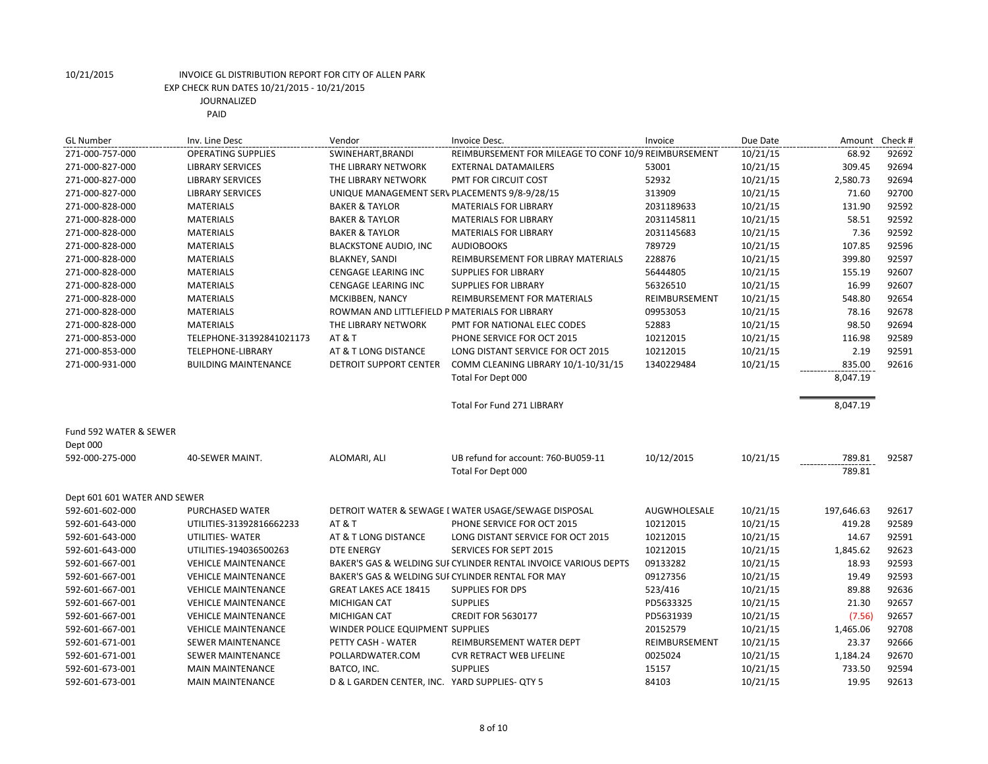| <b>GL Number</b>             | Inv. Line Desc              | Vendor                                         | Invoice Desc.                                                  | Invoice       | Due Date | Amount     | Check # |
|------------------------------|-----------------------------|------------------------------------------------|----------------------------------------------------------------|---------------|----------|------------|---------|
| 271-000-757-000              | <b>OPERATING SUPPLIES</b>   | SWINEHART, BRANDI                              | REIMBURSEMENT FOR MILEAGE TO CONF 10/9 REIMBURSEMENT           |               | 10/21/15 | 68.92      | 92692   |
| 271-000-827-000              | <b>LIBRARY SERVICES</b>     | THE LIBRARY NETWORK                            | <b>EXTERNAL DATAMAILERS</b>                                    | 53001         | 10/21/15 | 309.45     | 92694   |
| 271-000-827-000              | <b>LIBRARY SERVICES</b>     | THE LIBRARY NETWORK                            | PMT FOR CIRCUIT COST                                           | 52932         | 10/21/15 | 2,580.73   | 92694   |
| 271-000-827-000              | <b>LIBRARY SERVICES</b>     | UNIQUE MANAGEMENT SERV PLACEMENTS 9/8-9/28/15  |                                                                | 313909        | 10/21/15 | 71.60      | 92700   |
| 271-000-828-000              | <b>MATERIALS</b>            | <b>BAKER &amp; TAYLOR</b>                      | <b>MATERIALS FOR LIBRARY</b>                                   | 2031189633    | 10/21/15 | 131.90     | 92592   |
| 271-000-828-000              | <b>MATERIALS</b>            | <b>BAKER &amp; TAYLOR</b>                      | <b>MATERIALS FOR LIBRARY</b>                                   | 2031145811    | 10/21/15 | 58.51      | 92592   |
| 271-000-828-000              | <b>MATERIALS</b>            | <b>BAKER &amp; TAYLOR</b>                      | <b>MATERIALS FOR LIBRARY</b>                                   | 2031145683    | 10/21/15 | 7.36       | 92592   |
| 271-000-828-000              | <b>MATERIALS</b>            | <b>BLACKSTONE AUDIO, INC</b>                   | <b>AUDIOBOOKS</b>                                              | 789729        | 10/21/15 | 107.85     | 92596   |
| 271-000-828-000              | <b>MATERIALS</b>            | <b>BLAKNEY, SANDI</b>                          | REIMBURSEMENT FOR LIBRAY MATERIALS                             | 228876        | 10/21/15 | 399.80     | 92597   |
| 271-000-828-000              | <b>MATERIALS</b>            | CENGAGE LEARING INC                            | <b>SUPPLIES FOR LIBRARY</b>                                    | 56444805      | 10/21/15 | 155.19     | 92607   |
| 271-000-828-000              | <b>MATERIALS</b>            | <b>CENGAGE LEARING INC</b>                     | <b>SUPPLIES FOR LIBRARY</b>                                    | 56326510      | 10/21/15 | 16.99      | 92607   |
| 271-000-828-000              | <b>MATERIALS</b>            | MCKIBBEN, NANCY                                | REIMBURSEMENT FOR MATERIALS                                    | REIMBURSEMENT | 10/21/15 | 548.80     | 92654   |
| 271-000-828-000              | <b>MATERIALS</b>            | ROWMAN AND LITTLEFIELD P MATERIALS FOR LIBRARY |                                                                | 09953053      | 10/21/15 | 78.16      | 92678   |
| 271-000-828-000              | <b>MATERIALS</b>            | THE LIBRARY NETWORK                            | PMT FOR NATIONAL ELEC CODES                                    | 52883         | 10/21/15 | 98.50      | 92694   |
| 271-000-853-000              | TELEPHONE-31392841021173    | <b>AT &amp; T</b>                              | PHONE SERVICE FOR OCT 2015                                     | 10212015      | 10/21/15 | 116.98     | 92589   |
| 271-000-853-000              | TELEPHONE-LIBRARY           | AT & T LONG DISTANCE                           | LONG DISTANT SERVICE FOR OCT 2015                              | 10212015      | 10/21/15 | 2.19       | 92591   |
| 271-000-931-000              | <b>BUILDING MAINTENANCE</b> | <b>DETROIT SUPPORT CENTER</b>                  | COMM CLEANING LIBRARY 10/1-10/31/15                            | 1340229484    | 10/21/15 | 835.00     | 92616   |
|                              |                             |                                                | Total For Dept 000                                             |               |          | 8,047.19   |         |
|                              |                             |                                                |                                                                |               |          |            |         |
|                              |                             |                                                | <b>Total For Fund 271 LIBRARY</b>                              |               |          | 8,047.19   |         |
|                              |                             |                                                |                                                                |               |          |            |         |
| Fund 592 WATER & SEWER       |                             |                                                |                                                                |               |          |            |         |
| Dept 000                     |                             |                                                |                                                                |               |          |            |         |
| 592-000-275-000              | 40-SEWER MAINT.             | ALOMARI, ALI                                   | UB refund for account: 760-BU059-11                            | 10/12/2015    | 10/21/15 | 789.81     | 92587   |
|                              |                             |                                                | Total For Dept 000                                             |               |          | 789.81     |         |
|                              |                             |                                                |                                                                |               |          |            |         |
| Dept 601 601 WATER AND SEWER |                             |                                                |                                                                |               |          |            |         |
| 592-601-602-000              | <b>PURCHASED WATER</b>      |                                                | DETROIT WATER & SEWAGE I WATER USAGE/SEWAGE DISPOSAL           | AUGWHOLESALE  | 10/21/15 | 197,646.63 | 92617   |
| 592-601-643-000              | UTILITIES-31392816662233    | <b>AT &amp; T</b>                              | PHONE SERVICE FOR OCT 2015                                     | 10212015      | 10/21/15 | 419.28     | 92589   |
| 592-601-643-000              | UTILITIES- WATER            | AT & T LONG DISTANCE                           | LONG DISTANT SERVICE FOR OCT 2015                              | 10212015      | 10/21/15 | 14.67      | 92591   |
| 592-601-643-000              | UTILITIES-194036500263      | <b>DTE ENERGY</b>                              | SERVICES FOR SEPT 2015                                         | 10212015      | 10/21/15 | 1,845.62   | 92623   |
| 592-601-667-001              | <b>VEHICLE MAINTENANCE</b>  |                                                | BAKER'S GAS & WELDING SUFCYLINDER RENTAL INVOICE VARIOUS DEPTS | 09133282      | 10/21/15 | 18.93      | 92593   |
| 592-601-667-001              | <b>VEHICLE MAINTENANCE</b>  |                                                | BAKER'S GAS & WELDING SUI CYLINDER RENTAL FOR MAY              | 09127356      | 10/21/15 | 19.49      | 92593   |
| 592-601-667-001              | <b>VEHICLE MAINTENANCE</b>  | <b>GREAT LAKES ACE 18415</b>                   | <b>SUPPLIES FOR DPS</b>                                        | 523/416       | 10/21/15 | 89.88      | 92636   |
| 592-601-667-001              | <b>VEHICLE MAINTENANCE</b>  | <b>MICHIGAN CAT</b>                            | <b>SUPPLIES</b>                                                | PD5633325     | 10/21/15 | 21.30      | 92657   |
| 592-601-667-001              | <b>VEHICLE MAINTENANCE</b>  | <b>MICHIGAN CAT</b>                            | <b>CREDIT FOR 5630177</b>                                      | PD5631939     | 10/21/15 | (7.56)     | 92657   |
| 592-601-667-001              | <b>VEHICLE MAINTENANCE</b>  | WINDER POLICE EQUIPMENT SUPPLIES               |                                                                | 20152579      | 10/21/15 | 1,465.06   | 92708   |
| 592-601-671-001              | SEWER MAINTENANCE           | PETTY CASH - WATER                             | REIMBURSEMENT WATER DEPT                                       | REIMBURSEMENT | 10/21/15 | 23.37      | 92666   |
| 592-601-671-001              | SEWER MAINTENANCE           | POLLARDWATER.COM                               | <b>CVR RETRACT WEB LIFELINE</b>                                | 0025024       | 10/21/15 | 1,184.24   | 92670   |
| 592-601-673-001              | <b>MAIN MAINTENANCE</b>     | BATCO, INC.                                    | <b>SUPPLIES</b>                                                | 15157         | 10/21/15 | 733.50     | 92594   |
| 592-601-673-001              | <b>MAIN MAINTENANCE</b>     | D & L GARDEN CENTER, INC. YARD SUPPLIES- QTY 5 |                                                                | 84103         | 10/21/15 | 19.95      | 92613   |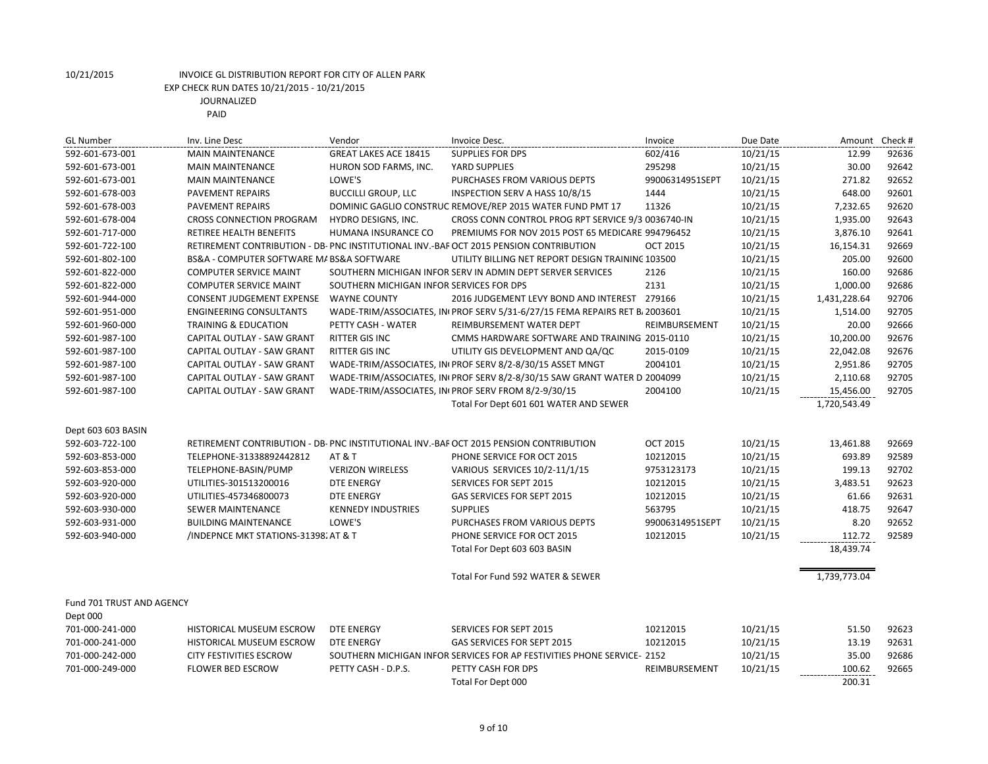| <b>GL Number</b>                 | Inv. Line Desc                            | Vendor                                   | Invoice Desc.                                                                          | Invoice         | Due Date | Amount Check # |       |
|----------------------------------|-------------------------------------------|------------------------------------------|----------------------------------------------------------------------------------------|-----------------|----------|----------------|-------|
| 592-601-673-001                  | <b>MAIN MAINTENANCE</b>                   | <b>GREAT LAKES ACE 18415</b>             | <b>SUPPLIES FOR DPS</b>                                                                | 602/416         | 10/21/15 | 12.99          | 92636 |
| 592-601-673-001                  | <b>MAIN MAINTENANCE</b>                   | HURON SOD FARMS, INC.                    | YARD SUPPLIES                                                                          | 295298          | 10/21/15 | 30.00          | 92642 |
| 592-601-673-001                  | <b>MAIN MAINTENANCE</b>                   | LOWE'S                                   | PURCHASES FROM VARIOUS DEPTS                                                           | 99006314951SEPT | 10/21/15 | 271.82         | 92652 |
| 592-601-678-003                  | PAVEMENT REPAIRS                          | <b>BUCCILLI GROUP, LLC</b>               | INSPECTION SERV A HASS 10/8/15                                                         | 1444            | 10/21/15 | 648.00         | 92601 |
| 592-601-678-003                  | PAVEMENT REPAIRS                          |                                          | DOMINIC GAGLIO CONSTRUC REMOVE/REP 2015 WATER FUND PMT 17                              | 11326           | 10/21/15 | 7,232.65       | 92620 |
| 592-601-678-004                  | <b>CROSS CONNECTION PROGRAM</b>           | HYDRO DESIGNS, INC.                      | CROSS CONN CONTROL PROG RPT SERVICE 9/3 0036740-IN                                     |                 | 10/21/15 | 1,935.00       | 92643 |
| 592-601-717-000                  | <b>RETIREE HEALTH BENEFITS</b>            | HUMANA INSURANCE CO                      | PREMIUMS FOR NOV 2015 POST 65 MEDICARE 994796452                                       |                 | 10/21/15 | 3,876.10       | 92641 |
| 592-601-722-100                  |                                           |                                          | RETIREMENT CONTRIBUTION - DB- PNC INSTITUTIONAL INV.-BAF OCT 2015 PENSION CONTRIBUTION | <b>OCT 2015</b> | 10/21/15 | 16,154.31      | 92669 |
| 592-601-802-100                  | BS&A - COMPUTER SOFTWARE M/ BS&A SOFTWARE |                                          | UTILITY BILLING NET REPORT DESIGN TRAINING 103500                                      |                 | 10/21/15 | 205.00         | 92600 |
| 592-601-822-000                  | <b>COMPUTER SERVICE MAINT</b>             |                                          | SOUTHERN MICHIGAN INFOR SERV IN ADMIN DEPT SERVER SERVICES                             | 2126            | 10/21/15 | 160.00         | 92686 |
| 592-601-822-000                  | <b>COMPUTER SERVICE MAINT</b>             | SOUTHERN MICHIGAN INFOR SERVICES FOR DPS |                                                                                        | 2131            | 10/21/15 | 1,000.00       | 92686 |
| 592-601-944-000                  | <b>CONSENT JUDGEMENT EXPENSE</b>          | <b>WAYNE COUNTY</b>                      | 2016 JUDGEMENT LEVY BOND AND INTEREST 279166                                           |                 | 10/21/15 | 1,431,228.64   | 92706 |
| 592-601-951-000                  | <b>ENGINEERING CONSULTANTS</b>            |                                          | WADE-TRIM/ASSOCIATES, IN PROF SERV 5/31-6/27/15 FEMA REPAIRS RET B. 2003601            |                 | 10/21/15 | 1,514.00       | 92705 |
| 592-601-960-000                  | <b>TRAINING &amp; EDUCATION</b>           | PETTY CASH - WATER                       | REIMBURSEMENT WATER DEPT                                                               | REIMBURSEMENT   | 10/21/15 | 20.00          | 92666 |
| 592-601-987-100                  | CAPITAL OUTLAY - SAW GRANT                | <b>RITTER GIS INC</b>                    | CMMS HARDWARE SOFTWARE AND TRAINING 2015-0110                                          |                 | 10/21/15 | 10,200.00      | 92676 |
| 592-601-987-100                  | CAPITAL OUTLAY - SAW GRANT                | <b>RITTER GIS INC</b>                    | UTILITY GIS DEVELOPMENT AND QA/QC                                                      | 2015-0109       | 10/21/15 | 22,042.08      | 92676 |
| 592-601-987-100                  | CAPITAL OUTLAY - SAW GRANT                |                                          | WADE-TRIM/ASSOCIATES, INIPROF SERV 8/2-8/30/15 ASSET MNGT                              | 2004101         | 10/21/15 | 2,951.86       | 92705 |
| 592-601-987-100                  | CAPITAL OUTLAY - SAW GRANT                |                                          | WADE-TRIM/ASSOCIATES, IN PROF SERV 8/2-8/30/15 SAW GRANT WATER D 2004099               |                 | 10/21/15 | 2,110.68       | 92705 |
| 592-601-987-100                  | CAPITAL OUTLAY - SAW GRANT                |                                          | WADE-TRIM/ASSOCIATES, IN PROF SERV FROM 8/2-9/30/15                                    | 2004100         | 10/21/15 | 15,456.00      | 92705 |
|                                  |                                           |                                          | Total For Dept 601 601 WATER AND SEWER                                                 |                 |          | 1,720,543.49   |       |
| Dept 603 603 BASIN               |                                           |                                          |                                                                                        |                 |          |                |       |
| 592-603-722-100                  |                                           |                                          | RETIREMENT CONTRIBUTION - DB-PNC INSTITUTIONAL INV.-BAF OCT 2015 PENSION CONTRIBUTION  | <b>OCT 2015</b> | 10/21/15 | 13,461.88      | 92669 |
| 592-603-853-000                  | TELEPHONE-31338892442812                  | <b>AT &amp; T</b>                        | PHONE SERVICE FOR OCT 2015                                                             | 10212015        | 10/21/15 | 693.89         | 92589 |
| 592-603-853-000                  | TELEPHONE-BASIN/PUMP                      | <b>VERIZON WIRELESS</b>                  | VARIOUS SERVICES 10/2-11/1/15                                                          | 9753123173      | 10/21/15 | 199.13         | 92702 |
| 592-603-920-000                  | UTILITIES-301513200016                    | <b>DTE ENERGY</b>                        | SERVICES FOR SEPT 2015                                                                 | 10212015        | 10/21/15 | 3,483.51       | 92623 |
| 592-603-920-000                  | UTILITIES-457346800073                    | <b>DTE ENERGY</b>                        | GAS SERVICES FOR SEPT 2015                                                             | 10212015        | 10/21/15 | 61.66          | 92631 |
| 592-603-930-000                  | SEWER MAINTENANCE                         | <b>KENNEDY INDUSTRIES</b>                | <b>SUPPLIES</b>                                                                        | 563795          | 10/21/15 | 418.75         | 92647 |
| 592-603-931-000                  | <b>BUILDING MAINTENANCE</b>               | LOWE'S                                   | PURCHASES FROM VARIOUS DEPTS                                                           | 99006314951SEPT | 10/21/15 | 8.20           | 92652 |
| 592-603-940-000                  | /INDEPNCE MKT STATIONS-31398. AT & T      |                                          | PHONE SERVICE FOR OCT 2015                                                             | 10212015        | 10/21/15 | 112.72         | 92589 |
|                                  |                                           |                                          | Total For Dept 603 603 BASIN                                                           |                 |          | 18,439.74      |       |
|                                  |                                           |                                          | Total For Fund 592 WATER & SEWER                                                       |                 |          | 1,739,773.04   |       |
| <b>Fund 701 TRUST AND AGENCY</b> |                                           |                                          |                                                                                        |                 |          |                |       |
| Dept 000                         |                                           |                                          |                                                                                        |                 |          |                |       |
| 701-000-241-000                  | <b>HISTORICAL MUSEUM ESCROW</b>           | <b>DTE ENERGY</b>                        | <b>SERVICES FOR SEPT 2015</b>                                                          | 10212015        | 10/21/15 | 51.50          | 92623 |
| 701-000-241-000                  | HISTORICAL MUSEUM ESCROW                  | <b>DTE ENERGY</b>                        | <b>GAS SERVICES FOR SEPT 2015</b>                                                      | 10212015        | 10/21/15 | 13.19          | 92631 |
| 701-000-242-000                  | <b>CITY FESTIVITIES ESCROW</b>            |                                          | SOUTHERN MICHIGAN INFOR SERVICES FOR AP FESTIVITIES PHONE SERVICE- 2152                |                 | 10/21/15 | 35.00          | 92686 |
| 701-000-249-000                  | <b>FLOWER BED ESCROW</b>                  | PETTY CASH - D.P.S.                      | PETTY CASH FOR DPS                                                                     | REIMBURSEMENT   | 10/21/15 | 100.62         | 92665 |
|                                  |                                           |                                          | Total For Dept 000                                                                     |                 |          | 200.31         |       |